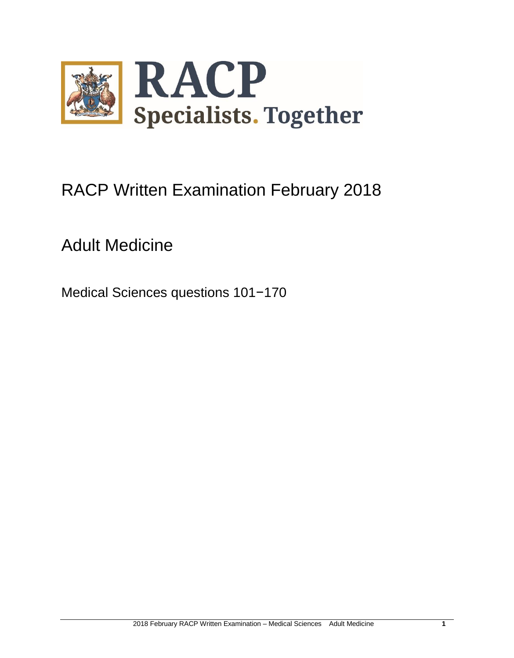

# RACP Written Examination February 2018

## Adult Medicine

Medical Sciences questions 101−170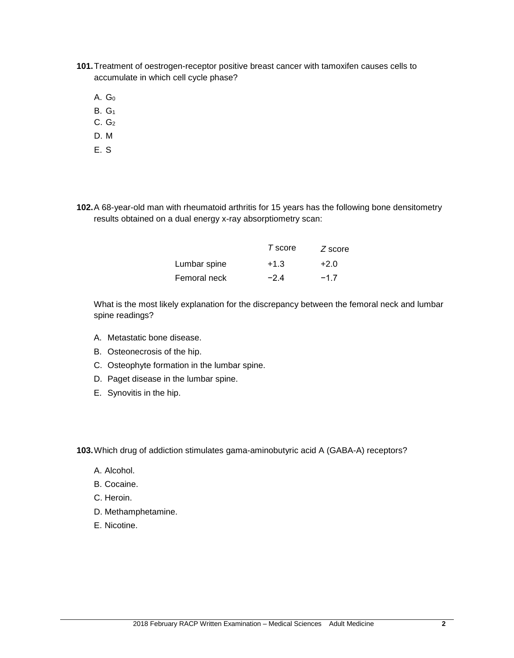- **101.**Treatment of oestrogen-receptor positive breast cancer with tamoxifen causes cells to accumulate in which cell cycle phase?
	- A.  $G_0$
	- B. G<sup>1</sup>
	- $C. G<sub>2</sub>$
	- D. M
	- E. S

**102.**A 68-year-old man with rheumatoid arthritis for 15 years has the following bone densitometry results obtained on a dual energy x-ray absorptiometry scan:

|              | T score | $Z$ score |
|--------------|---------|-----------|
| Lumbar spine | $+1.3$  | $+2.0$    |
| Femoral neck | $-24$   | $-17$     |

What is the most likely explanation for the discrepancy between the femoral neck and lumbar spine readings?

- A. Metastatic bone disease.
- B. Osteonecrosis of the hip.
- C. Osteophyte formation in the lumbar spine.
- D. Paget disease in the lumbar spine.
- E. Synovitis in the hip.

**103.**Which drug of addiction stimulates gama-aminobutyric acid A (GABA-A) receptors?

- A. Alcohol.
- B. Cocaine.
- C. Heroin.
- D. Methamphetamine.
- E. Nicotine.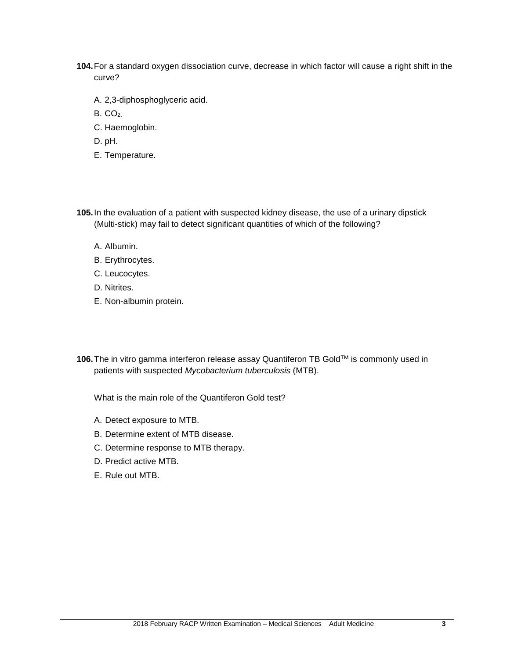- **104.**For a standard oxygen dissociation curve, decrease in which factor will cause a right shift in the curve?
	- A. 2,3-diphosphoglyceric acid.
	- B. CO2.
	- C. Haemoglobin.
	- D. pH.
	- E. Temperature.
- **105.**In the evaluation of a patient with suspected kidney disease, the use of a urinary dipstick (Multi-stick) may fail to detect significant quantities of which of the following?
	- A. Albumin.
	- B. Erythrocytes.
	- C. Leucocytes.
	- D. Nitrites.
	- E. Non-albumin protein.
- **106.** The in vitro gamma interferon release assay Quantiferon TB Gold™ is commonly used in patients with suspected *Mycobacterium tuberculosis* (MTB).

What is the main role of the Quantiferon Gold test?

- A. Detect exposure to MTB.
- B. Determine extent of MTB disease.
- C. Determine response to MTB therapy.
- D. Predict active MTB.
- E. Rule out MTB.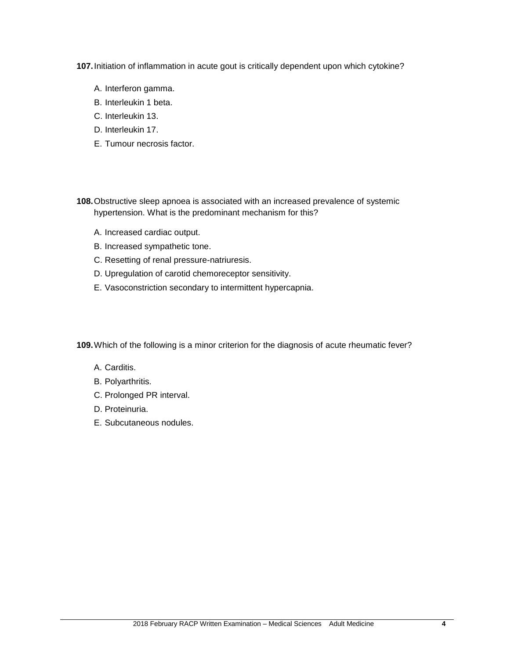**107.**Initiation of inflammation in acute gout is critically dependent upon which cytokine?

- A. Interferon gamma.
- B. Interleukin 1 beta.
- C. Interleukin 13.
- D. Interleukin 17.
- E. Tumour necrosis factor.
- **108.**Obstructive sleep apnoea is associated with an increased prevalence of systemic hypertension. What is the predominant mechanism for this?
	- A. Increased cardiac output.
	- B. Increased sympathetic tone.
	- C. Resetting of renal pressure-natriuresis.
	- D. Upregulation of carotid chemoreceptor sensitivity.
	- E. Vasoconstriction secondary to intermittent hypercapnia.

**109.**Which of the following is a minor criterion for the diagnosis of acute rheumatic fever?

- A. Carditis.
- B. Polyarthritis.
- C. Prolonged PR interval.
- D. Proteinuria.
- E. Subcutaneous nodules.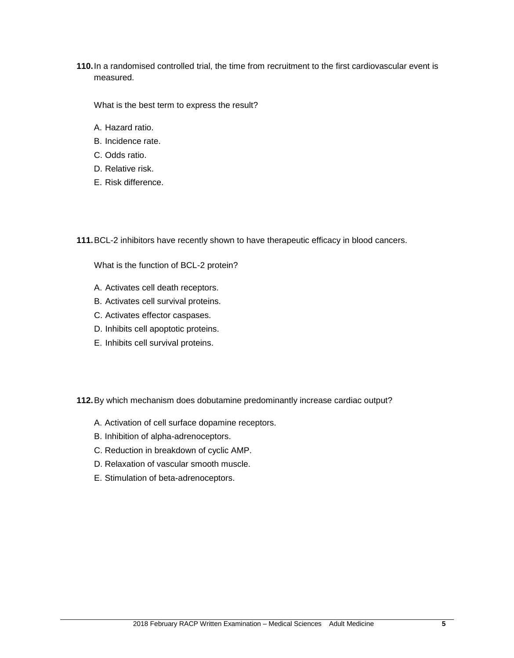**110.**In a randomised controlled trial, the time from recruitment to the first cardiovascular event is measured.

What is the best term to express the result?

- A. Hazard ratio.
- B. Incidence rate.
- C. Odds ratio.
- D. Relative risk.
- E. Risk difference.

**111.**BCL-2 inhibitors have recently shown to have therapeutic efficacy in blood cancers.

What is the function of BCL-2 protein?

- A. Activates cell death receptors.
- B. Activates cell survival proteins.
- C. Activates effector caspases.
- D. Inhibits cell apoptotic proteins.
- E. Inhibits cell survival proteins.

**112.**By which mechanism does dobutamine predominantly increase cardiac output?

- A. Activation of cell surface dopamine receptors.
- B. Inhibition of alpha-adrenoceptors.
- C. Reduction in breakdown of cyclic AMP.
- D. Relaxation of vascular smooth muscle.
- E. Stimulation of beta-adrenoceptors.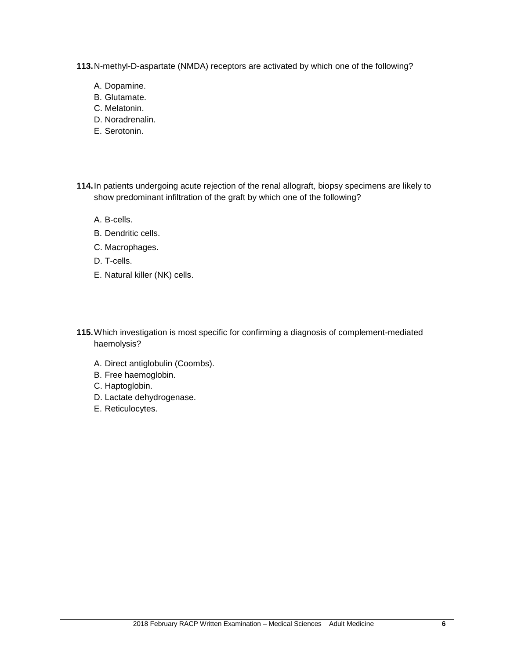**113.**N-methyl-D-aspartate (NMDA) receptors are activated by which one of the following?

- A. Dopamine.
- B. Glutamate.
- C. Melatonin.
- D. Noradrenalin.
- E. Serotonin.
- **114.**In patients undergoing acute rejection of the renal allograft, biopsy specimens are likely to show predominant infiltration of the graft by which one of the following?
	- A. B-cells.
	- B. Dendritic cells.
	- C. Macrophages.
	- D. T-cells.
	- E. Natural killer (NK) cells.
- **115.**Which investigation is most specific for confirming a diagnosis of complement-mediated haemolysis?
	- A. Direct antiglobulin (Coombs).
	- B. Free haemoglobin.
	- C. Haptoglobin.
	- D. Lactate dehydrogenase.
	- E. Reticulocytes.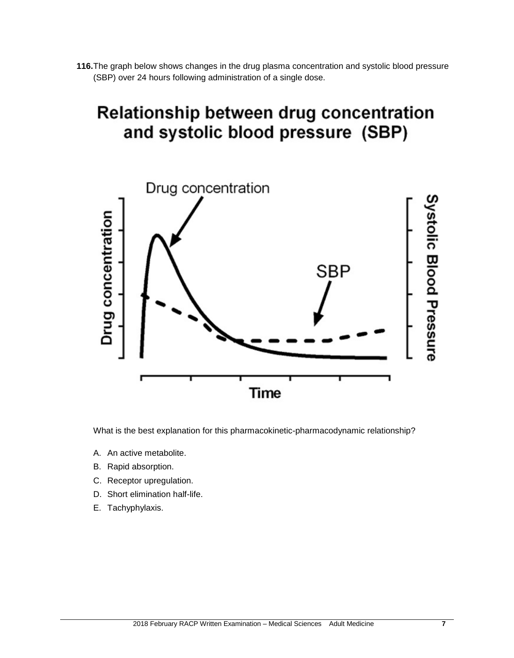**116.**The graph below shows changes in the drug plasma concentration and systolic blood pressure (SBP) over 24 hours following administration of a single dose.

## Relationship between drug concentration and systolic blood pressure (SBP)



What is the best explanation for this pharmacokinetic-pharmacodynamic relationship?

- A. An active metabolite.
- B. Rapid absorption.
- C. Receptor upregulation.
- D. Short elimination half-life.
- E. Tachyphylaxis.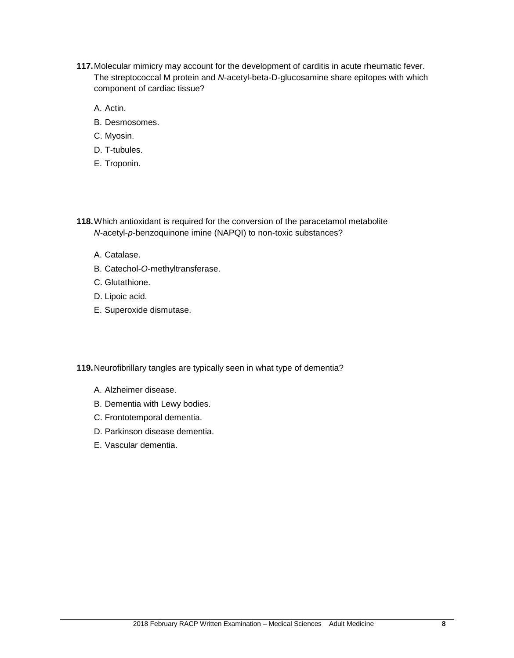- **117.**Molecular mimicry may account for the development of carditis in acute rheumatic fever. The streptococcal M protein and *N*-acetyl-beta-D-glucosamine share epitopes with which component of cardiac tissue?
	- A. Actin.
	- B. Desmosomes.
	- C. Myosin.
	- D. T-tubules.
	- E. Troponin.
- **118.**Which antioxidant is required for the conversion of the paracetamol metabolite *N*-acetyl-*p*-benzoquinone imine (NAPQI) to non-toxic substances?
	- A. Catalase.
	- B. Catechol-*O*-methyltransferase.
	- C. Glutathione.
	- D. Lipoic acid.
	- E. Superoxide dismutase.
- **119.**Neurofibrillary tangles are typically seen in what type of dementia?
	- A. Alzheimer disease.
	- B. Dementia with Lewy bodies.
	- C. Frontotemporal dementia.
	- D. Parkinson disease dementia.
	- E. Vascular dementia.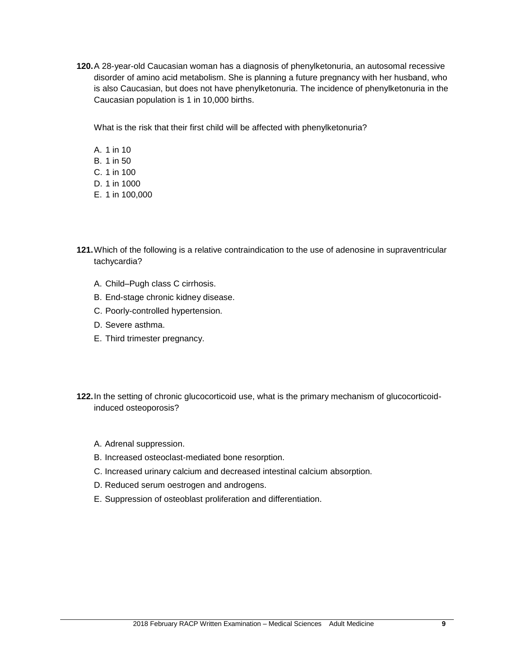**120.**A 28-year-old Caucasian woman has a diagnosis of phenylketonuria, an autosomal recessive disorder of amino acid metabolism. She is planning a future pregnancy with her husband, who is also Caucasian, but does not have phenylketonuria. The incidence of phenylketonuria in the Caucasian population is 1 in 10,000 births.

What is the risk that their first child will be affected with phenylketonuria?

A. 1 in 10 B. 1 in 50 C. 1 in 100 D. 1 in 1000 E. 1 in 100,000

- **121.**Which of the following is a relative contraindication to the use of adenosine in supraventricular tachycardia?
	- A. Child–Pugh class C cirrhosis.
	- B. End-stage chronic kidney disease.
	- C. Poorly-controlled hypertension.
	- D. Severe asthma.
	- E. Third trimester pregnancy.
- **122.**In the setting of chronic glucocorticoid use, what is the primary mechanism of glucocorticoidinduced osteoporosis?
	- A. Adrenal suppression.
	- B. Increased osteoclast-mediated bone resorption.
	- C. Increased urinary calcium and decreased intestinal calcium absorption.
	- D. Reduced serum oestrogen and androgens.
	- E. Suppression of osteoblast proliferation and differentiation.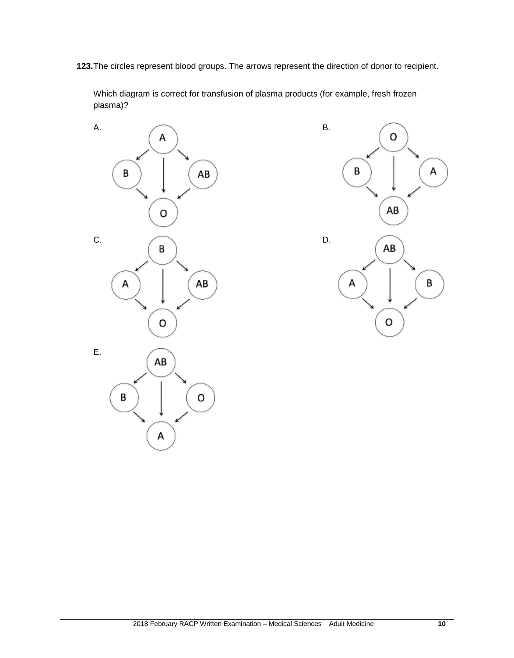**123.**The circles represent blood groups. The arrows represent the direction of donor to recipient.

Which diagram is correct for transfusion of plasma products (for example, fresh frozen plasma)?



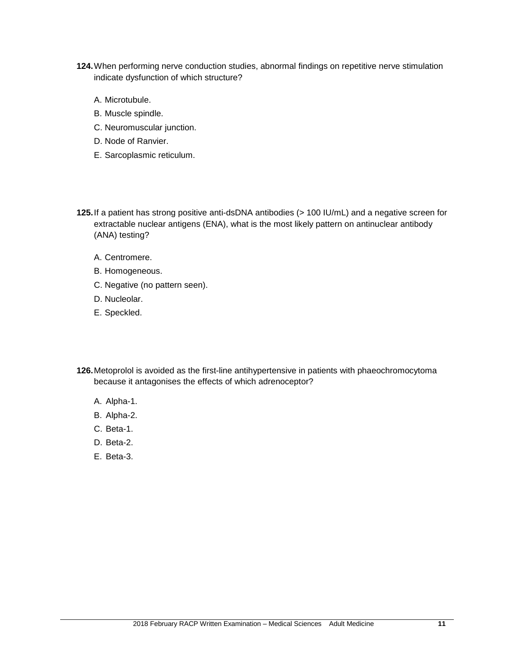- **124.**When performing nerve conduction studies, abnormal findings on repetitive nerve stimulation indicate dysfunction of which structure?
	- A. Microtubule.
	- B. Muscle spindle.
	- C. Neuromuscular junction.
	- D. Node of Ranvier.
	- E. Sarcoplasmic reticulum.
- **125.**If a patient has strong positive anti-dsDNA antibodies (> 100 IU/mL) and a negative screen for extractable nuclear antigens (ENA), what is the most likely pattern on antinuclear antibody (ANA) testing?
	- A. Centromere.
	- B. Homogeneous.
	- C. Negative (no pattern seen).
	- D. Nucleolar.
	- E. Speckled.
- **126.**Metoprolol is avoided as the first-line antihypertensive in patients with phaeochromocytoma because it antagonises the effects of which adrenoceptor?
	- A. Alpha-1.
	- B. Alpha-2.
	- C. Beta-1.
	- D. Beta-2.
	- E. Beta-3.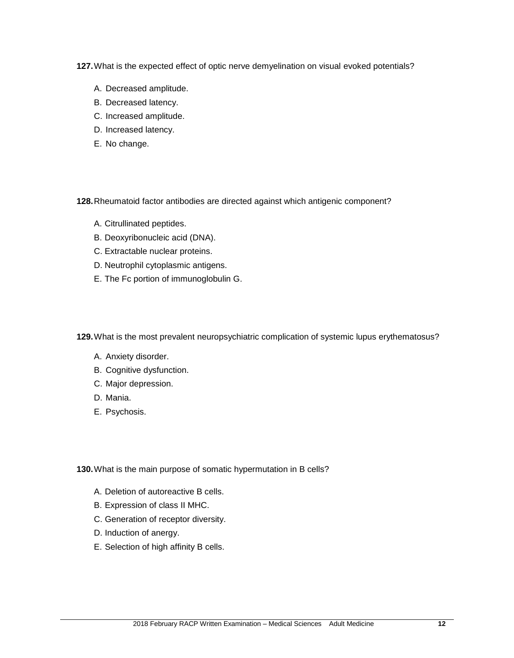**127.**What is the expected effect of optic nerve demyelination on visual evoked potentials?

- A. Decreased amplitude.
- B. Decreased latency.
- C. Increased amplitude.
- D. Increased latency.
- E. No change.

**128.**Rheumatoid factor antibodies are directed against which antigenic component?

- A. Citrullinated peptides.
- B. Deoxyribonucleic acid (DNA).
- C. Extractable nuclear proteins.
- D. Neutrophil cytoplasmic antigens.
- E. The Fc portion of immunoglobulin G.

**129.**What is the most prevalent neuropsychiatric complication of systemic lupus erythematosus?

- A. Anxiety disorder.
- B. Cognitive dysfunction.
- C. Major depression.
- D. Mania.
- E. Psychosis.

**130.**What is the main purpose of somatic hypermutation in B cells?

- A. Deletion of autoreactive B cells.
- B. Expression of class II MHC.
- C. Generation of receptor diversity.
- D. Induction of anergy.
- E. Selection of high affinity B cells.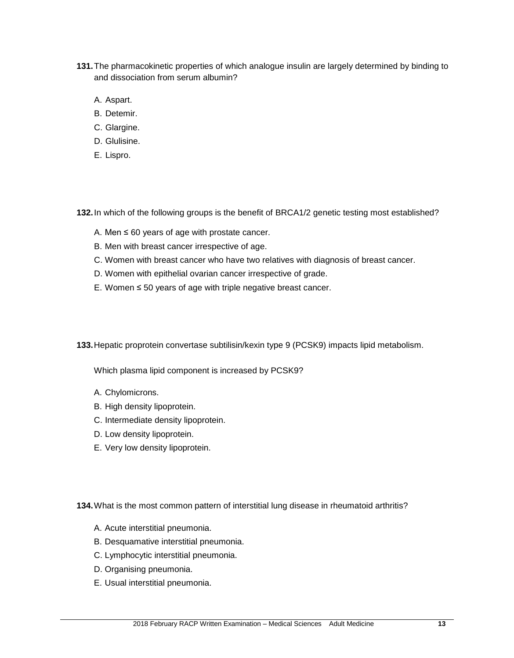- **131.**The pharmacokinetic properties of which analogue insulin are largely determined by binding to and dissociation from serum albumin?
	- A. Aspart.
	- B. Detemir.
	- C. Glargine.
	- D. Glulisine.
	- E. Lispro.

**132.**In which of the following groups is the benefit of BRCA1/2 genetic testing most established?

- A. Men  $\leq 60$  years of age with prostate cancer.
- B. Men with breast cancer irrespective of age.
- C. Women with breast cancer who have two relatives with diagnosis of breast cancer.
- D. Women with epithelial ovarian cancer irrespective of grade.
- E. Women ≤ 50 years of age with triple negative breast cancer.

**133.**Hepatic proprotein convertase subtilisin/kexin type 9 (PCSK9) impacts lipid metabolism.

Which plasma lipid component is increased by PCSK9?

- A. Chylomicrons.
- B. High density lipoprotein.
- C. Intermediate density lipoprotein.
- D. Low density lipoprotein.
- E. Very low density lipoprotein.

**134.**What is the most common pattern of interstitial lung disease in rheumatoid arthritis?

- A. Acute interstitial pneumonia.
- B. Desquamative interstitial pneumonia.
- C. Lymphocytic interstitial pneumonia.
- D. Organising pneumonia.
- E. Usual interstitial pneumonia.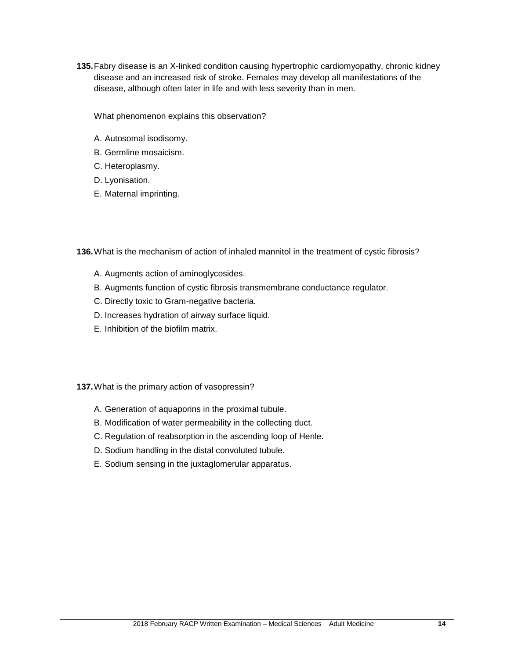**135.**Fabry disease is an X-linked condition causing hypertrophic cardiomyopathy, chronic kidney disease and an increased risk of stroke. Females may develop all manifestations of the disease, although often later in life and with less severity than in men.

What phenomenon explains this observation?

- A. Autosomal isodisomy.
- B. Germline mosaicism.
- C. Heteroplasmy.
- D. Lyonisation.
- E. Maternal imprinting.

**136.**What is the mechanism of action of inhaled mannitol in the treatment of cystic fibrosis?

- A. Augments action of aminoglycosides.
- B. Augments function of cystic fibrosis transmembrane conductance regulator.
- C. Directly toxic to Gram-negative bacteria.
- D. Increases hydration of airway surface liquid.
- E. Inhibition of the biofilm matrix.

**137.**What is the primary action of vasopressin?

- A. Generation of aquaporins in the proximal tubule.
- B. Modification of water permeability in the collecting duct.
- C. Regulation of reabsorption in the ascending loop of Henle.
- D. Sodium handling in the distal convoluted tubule.
- E. Sodium sensing in the juxtaglomerular apparatus.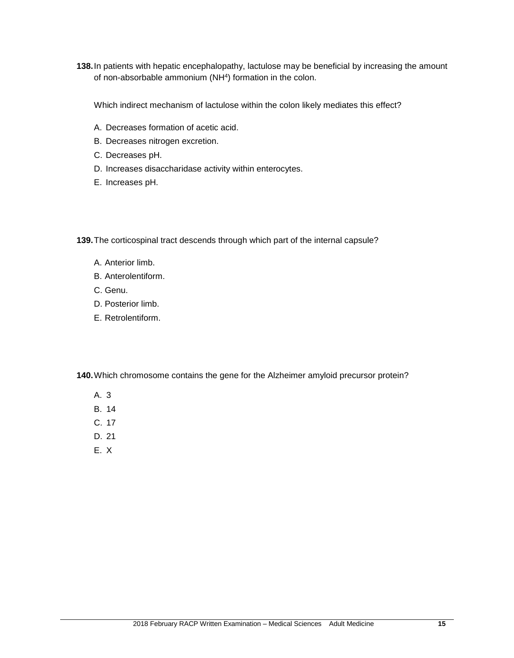**138.**In patients with hepatic encephalopathy, lactulose may be beneficial by increasing the amount of non-absorbable ammonium (NH<sup>4</sup>) formation in the colon.

Which indirect mechanism of lactulose within the colon likely mediates this effect?

- A. Decreases formation of acetic acid.
- B. Decreases nitrogen excretion.
- C. Decreases pH.
- D. Increases disaccharidase activity within enterocytes.
- E. Increases pH.

**139.**The corticospinal tract descends through which part of the internal capsule?

- A. Anterior limb.
- B. Anterolentiform.
- C. Genu.
- D. Posterior limb.
- E. Retrolentiform.

**140.**Which chromosome contains the gene for the Alzheimer amyloid precursor protein?

- A. 3
- B. 14
- C. 17
- D. 21
- E. X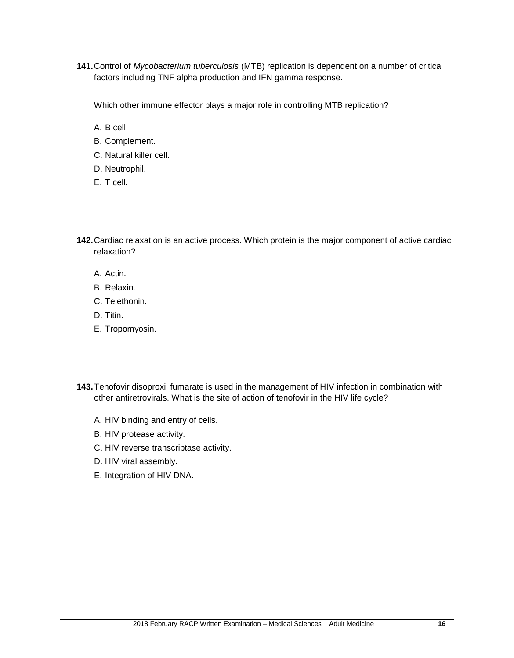**141.**Control of *Mycobacterium tuberculosis* (MTB) replication is dependent on a number of critical factors including TNF alpha production and IFN gamma response.

Which other immune effector plays a major role in controlling MTB replication?

A. B cell.

- B. Complement.
- C. Natural killer cell.
- D. Neutrophil.
- E. T cell.

**142.**Cardiac relaxation is an active process. Which protein is the major component of active cardiac relaxation?

- A. Actin.
- B. Relaxin.
- C. Telethonin.
- D. Titin.
- E. Tropomyosin.
- **143.**Tenofovir disoproxil fumarate is used in the management of HIV infection in combination with other antiretrovirals. What is the site of action of tenofovir in the HIV life cycle?
	- A. HIV binding and entry of cells.
	- B. HIV protease activity.
	- C. HIV reverse transcriptase activity.
	- D. HIV viral assembly.
	- E. Integration of HIV DNA.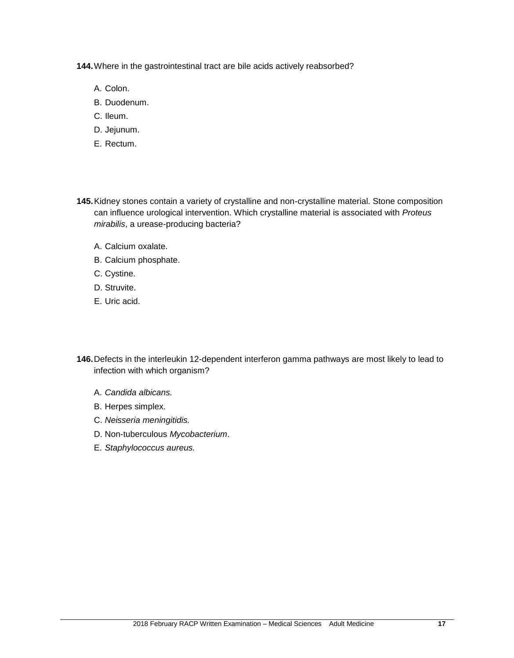**144.**Where in the gastrointestinal tract are bile acids actively reabsorbed?

- A. Colon.
- B. Duodenum.
- C. Ileum.
- D. Jejunum.
- E. Rectum.
- **145.**Kidney stones contain a variety of crystalline and non-crystalline material. Stone composition can influence urological intervention. Which crystalline material is associated with *Proteus mirabilis*, a urease-producing bacteria?
	- A. Calcium oxalate.
	- B. Calcium phosphate.
	- C. Cystine.
	- D. Struvite.
	- E. Uric acid.
- **146.**Defects in the interleukin 12-dependent interferon gamma pathways are most likely to lead to infection with which organism?
	- A. *Candida albicans.*
	- B. Herpes simplex.
	- C. *Neisseria meningitidis.*
	- D. Non-tuberculous *Mycobacterium*.
	- E. *Staphylococcus aureus.*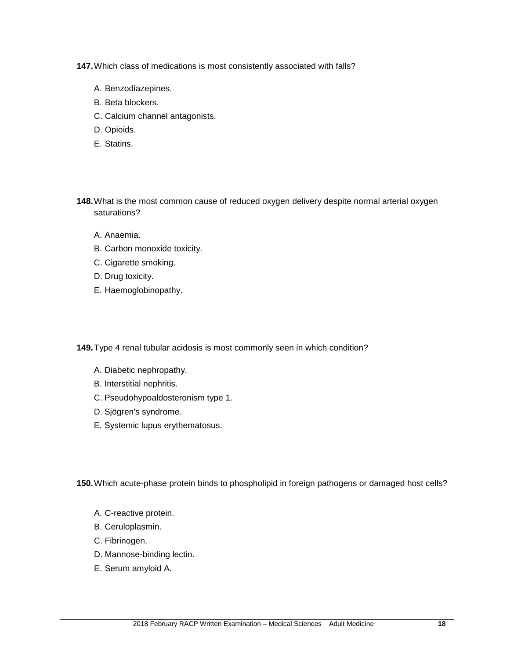**147.**Which class of medications is most consistently associated with falls?

- A. Benzodiazepines.
- B. Beta blockers.
- C. Calcium channel antagonists.
- D. Opioids.
- E. Statins.
- **148.**What is the most common cause of reduced oxygen delivery despite normal arterial oxygen saturations?
	- A. Anaemia.
	- B. Carbon monoxide toxicity.
	- C. Cigarette smoking.
	- D. Drug toxicity.
	- E. Haemoglobinopathy.

**149.**Type 4 renal tubular acidosis is most commonly seen in which condition?

- A. Diabetic nephropathy.
- B. Interstitial nephritis.
- C. Pseudohypoaldosteronism type 1.
- D. Sjögren's syndrome.
- E. Systemic lupus erythematosus.

**150.**Which acute-phase protein binds to phospholipid in foreign pathogens or damaged host cells?

- A. C-reactive protein.
- B. Ceruloplasmin.
- C. Fibrinogen.
- D. Mannose-binding lectin.
- E. Serum amyloid A.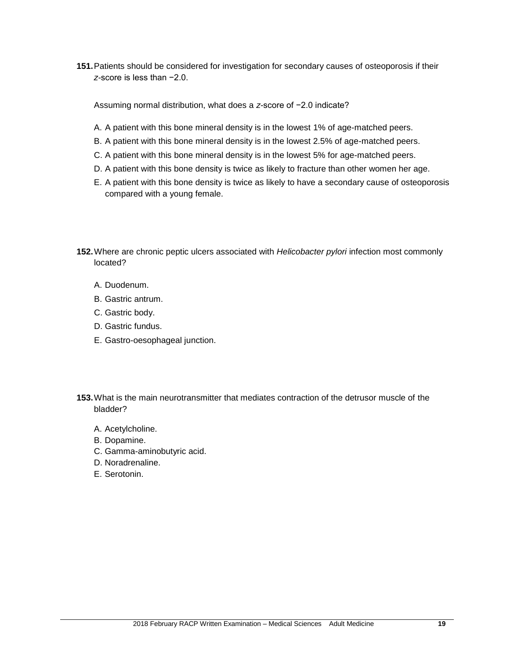**151.**Patients should be considered for investigation for secondary causes of osteoporosis if their *z-*score is less than −2.0.

Assuming normal distribution, what does a *z-*score of −2.0 indicate?

- A. A patient with this bone mineral density is in the lowest 1% of age-matched peers.
- B. A patient with this bone mineral density is in the lowest 2.5% of age-matched peers.
- C. A patient with this bone mineral density is in the lowest 5% for age-matched peers.
- D. A patient with this bone density is twice as likely to fracture than other women her age.
- E. A patient with this bone density is twice as likely to have a secondary cause of osteoporosis compared with a young female.

**152.**Where are chronic peptic ulcers associated with *Helicobacter pylori* infection most commonly located?

- A. Duodenum.
- B. Gastric antrum.
- C. Gastric body.
- D. Gastric fundus.
- E. Gastro-oesophageal junction.

**153.**What is the main neurotransmitter that mediates contraction of the detrusor muscle of the bladder?

- A. Acetylcholine.
- B. Dopamine.
- C. Gamma-aminobutyric acid.
- D. Noradrenaline.
- E. Serotonin.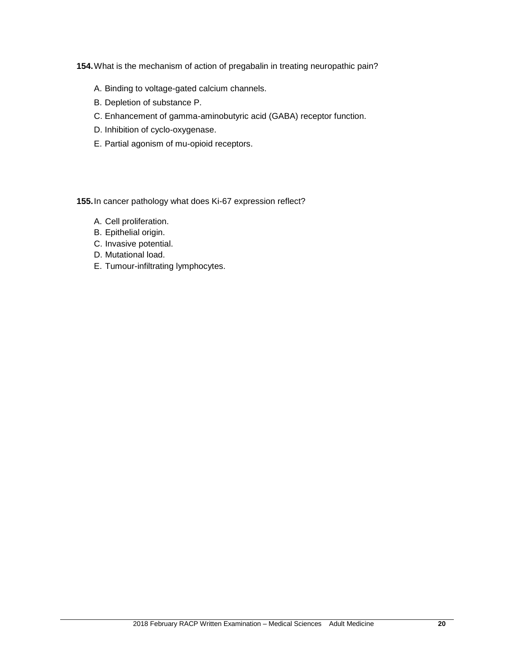**154.**What is the mechanism of action of pregabalin in treating neuropathic pain?

- A. Binding to voltage-gated calcium channels.
- B. Depletion of substance P.
- C. Enhancement of gamma-aminobutyric acid (GABA) receptor function.
- D. Inhibition of cyclo-oxygenase.
- E. Partial agonism of mu-opioid receptors.

**155.**In cancer pathology what does Ki-67 expression reflect?

- A. Cell proliferation.
- B. Epithelial origin.
- C. Invasive potential.
- D. Mutational load.
- E. Tumour-infiltrating lymphocytes.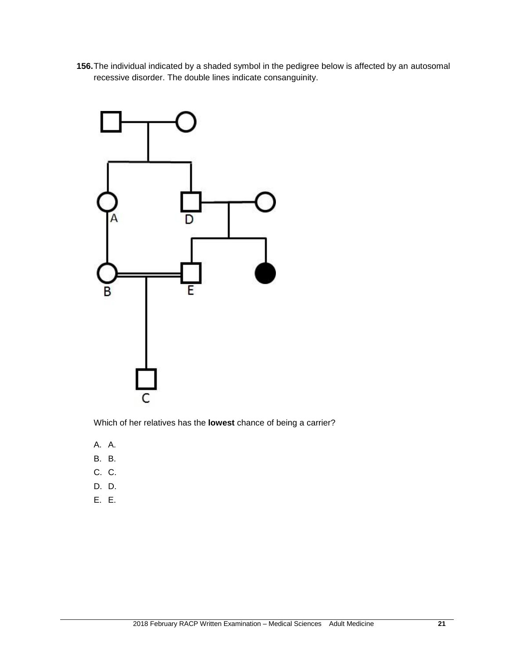**156.**The individual indicated by a shaded symbol in the pedigree below is affected by an autosomal recessive disorder. The double lines indicate consanguinity.



Which of her relatives has the **lowest** chance of being a carrier?

- A. A.
- B. B.
- C. C.
- D. D.
- E. E.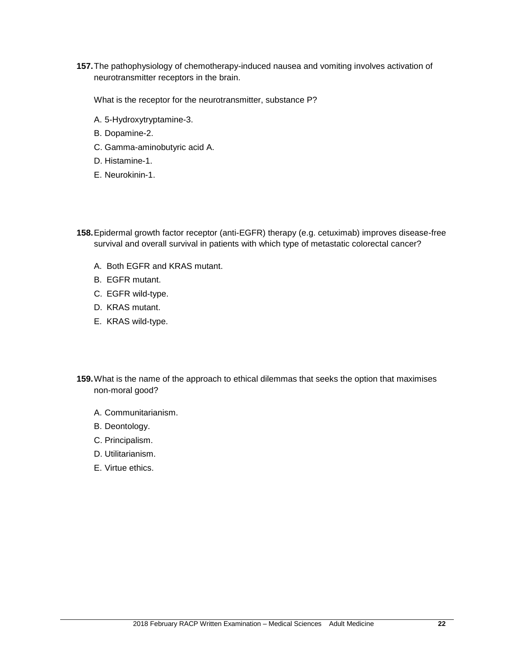**157.**The pathophysiology of chemotherapy-induced nausea and vomiting involves activation of neurotransmitter receptors in the brain.

What is the receptor for the neurotransmitter, substance P?

- A. 5-Hydroxytryptamine-3.
- B. Dopamine-2.
- C. Gamma-aminobutyric acid A.
- D. Histamine-1.
- E. Neurokinin-1.
- **158.**Epidermal growth factor receptor (anti-EGFR) therapy (e.g. cetuximab) improves disease-free survival and overall survival in patients with which type of metastatic colorectal cancer?
	- A. Both EGFR and KRAS mutant.
	- B. EGFR mutant.
	- C. EGFR wild-type.
	- D. KRAS mutant.
	- E. KRAS wild-type.
- **159.**What is the name of the approach to ethical dilemmas that seeks the option that maximises non-moral good?
	- A. Communitarianism.
	- B. Deontology.
	- C. Principalism.
	- D. Utilitarianism.
	- E. Virtue ethics.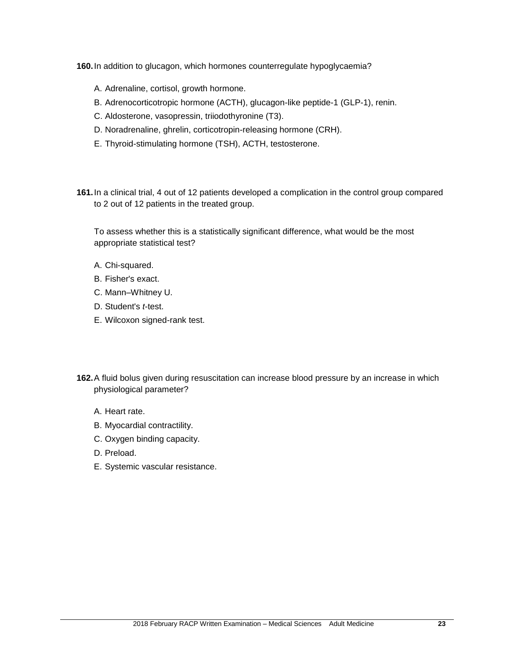**160.**In addition to glucagon, which hormones counterregulate hypoglycaemia?

- A. Adrenaline, cortisol, growth hormone.
- B. Adrenocorticotropic hormone (ACTH), glucagon-like peptide-1 (GLP-1), renin.
- C. Aldosterone, vasopressin, triiodothyronine (T3).
- D. Noradrenaline, ghrelin, corticotropin-releasing hormone (CRH).
- E. Thyroid-stimulating hormone (TSH), ACTH, testosterone.
- **161.**In a clinical trial, 4 out of 12 patients developed a complication in the control group compared to 2 out of 12 patients in the treated group.

To assess whether this is a statistically significant difference, what would be the most appropriate statistical test?

- A. Chi-squared.
- B. Fisher's exact.
- C. Mann–Whitney U.
- D. Student's *t*-test.
- E. Wilcoxon signed-rank test.
- **162.**A fluid bolus given during resuscitation can increase blood pressure by an increase in which physiological parameter?
	- A. Heart rate.
	- B. Myocardial contractility.
	- C. Oxygen binding capacity.
	- D. Preload.
	- E. Systemic vascular resistance.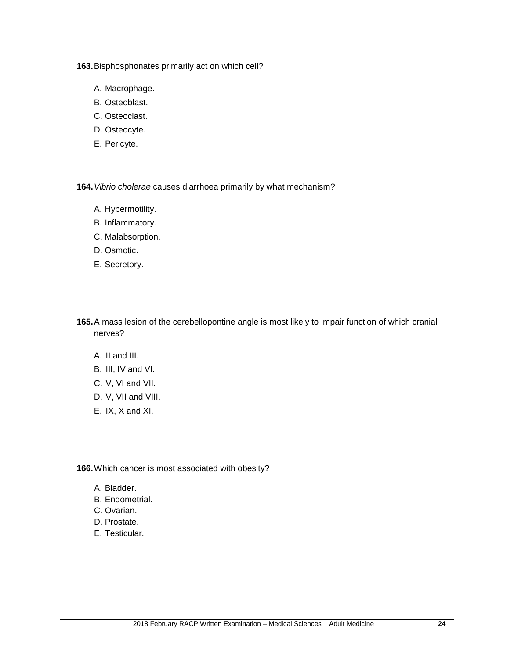**163.**Bisphosphonates primarily act on which cell?

- A. Macrophage.
- B. Osteoblast.
- C. Osteoclast.
- D. Osteocyte.
- E. Pericyte.

**164.***Vibrio cholerae* causes diarrhoea primarily by what mechanism?

- A. Hypermotility.
- B. Inflammatory.
- C. Malabsorption.
- D. Osmotic.
- E. Secretory.
- **165.**A mass lesion of the cerebellopontine angle is most likely to impair function of which cranial nerves?
	- A. II and III.
	- B. III, IV and VI.
	- C. V, VI and VII.
	- D. V, VII and VIII.
	- E. IX, X and XI.

**166.**Which cancer is most associated with obesity?

- A. Bladder.
- B. Endometrial.
- C. Ovarian.
- D. Prostate.
- E. Testicular.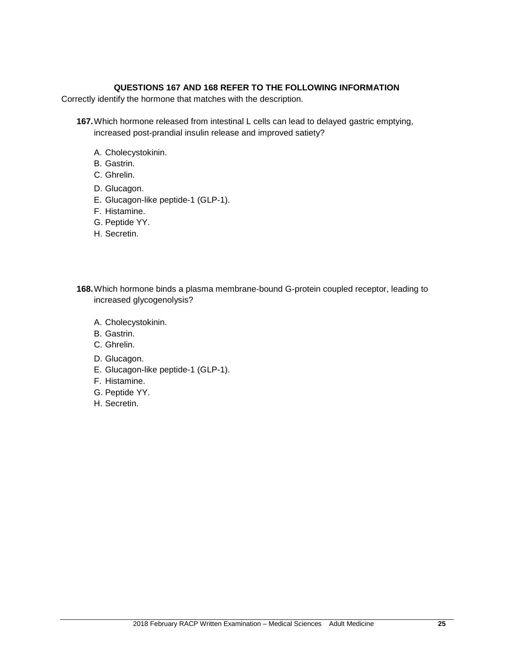#### **QUESTIONS 167 AND 168 REFER TO THE FOLLOWING INFORMATION**

Correctly identify the hormone that matches with the description.

**167.**Which hormone released from intestinal L cells can lead to delayed gastric emptying, increased post-prandial insulin release and improved satiety?

- A. Cholecystokinin.
- B. Gastrin.
- C. Ghrelin.
- D. Glucagon.
- E. Glucagon-like peptide-1 (GLP-1).
- F. Histamine.
- G. Peptide YY.
- H. Secretin.

**168.**Which hormone binds a plasma membrane-bound G-protein coupled receptor, leading to increased glycogenolysis?

- A. Cholecystokinin.
- B. Gastrin.
- C. Ghrelin.
- D. Glucagon.
- E. Glucagon-like peptide-1 (GLP-1).
- F. Histamine.
- G. Peptide YY.
- H. Secretin.